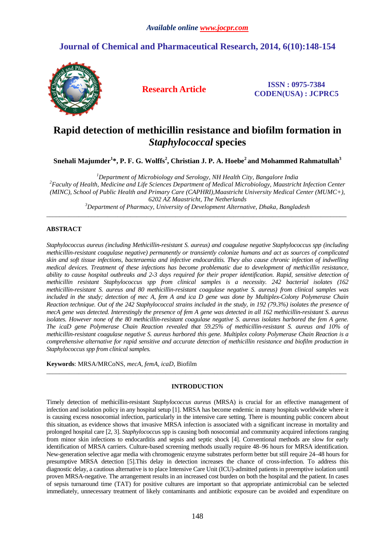## **Journal of Chemical and Pharmaceutical Research, 2014, 6(10):148-154**



**Research Article ISSN : 0975-7384 CODEN(USA) : JCPRC5**

# **Rapid detection of methicillin resistance and biofilm formation in**  *Staphylococcal* **species**

**Snehali Majumder<sup>1</sup> \*, P. F. G. Wolffs<sup>2</sup> , Christian J. P. A. Hoebe<sup>2</sup>and Mohammed Rahmatullah<sup>3</sup>**

*<sup>1</sup>Department of Microbiology and Serology, NH Health City, Bangalore India <sup>2</sup>Faculty of Health, Medicine and Life Sciences Department of Medical Microbiology, Maastricht Infection Center (MINC), School of Public Health and Primary Care (CAPHRI),Maastricht University Medical Center (MUMC+), 6202 AZ Maastricht, The Netherlands <sup>3</sup>Department of Pharmacy, University of Development Alternative, Dhaka, Bangladesh* 

\_\_\_\_\_\_\_\_\_\_\_\_\_\_\_\_\_\_\_\_\_\_\_\_\_\_\_\_\_\_\_\_\_\_\_\_\_\_\_\_\_\_\_\_\_\_\_\_\_\_\_\_\_\_\_\_\_\_\_\_\_\_\_\_\_\_\_\_\_\_\_\_\_\_\_\_\_\_\_\_\_\_\_\_\_\_\_\_\_\_\_\_\_

## **ABSTRACT**

*Staphylococcus aureus (including Methicillin-resistant S. aureus) and coagulase negative Staphylococcus spp (including methicillin-resistant coagulase negative) permanently or transiently colonize humans and act as sources of complicated skin and soft tissue infections, bacteraemia and infective endocarditis. They also cause chronic infection of indwelling medical devices. Treatment of these infections has become problematic due to development of methicillin resistance, ability to cause hospital outbreaks and 2-3 days required for their proper identification. Rapid, sensitive detection of methicillin resistant Staphylococcus spp from clinical samples is a necessity. 242 bacterial isolates (162 methicillin-resistant S. aureus and 80 methicillin-resistant coagulase negative S. aureus) from clinical samples was included in the study; detection of mec A, fem A and ica D gene was done by Multiplex-Colony Polymerase Chain Reaction technique. Out of the 242 Staphylococcal strains included in the study, in 192 (79.3%) isolates the presence of mecA gene was detected. Interestingly the presence of fem A gene was detected in all 162 methicillin-resistant S. aureus*  isolates. However none of the 80 methicillin-resistant coagulase negative S. aureus isolates harbored the fem A gene. *The icaD gene Polymerase Chain Reaction revealed that 59.25% of methicillin-resistant S. aureus and 10% of methicillin-resistant coagulase negative S. aureus harbored this gene. Multiplex colony Polymerase Chain Reaction is a comprehensive alternative for rapid sensitive and accurate detection of methicillin resistance and biofilm production in Staphylococcus spp from clinical samples.* 

**Keywords**: MRSA/MRCoNS, *mecA, femA, icaD*, Biofilm

## **INTRODUCTION**

 $\overline{a}$  , and the contribution of the contribution of the contribution of the contribution of the contribution of the contribution of the contribution of the contribution of the contribution of the contribution of the co

Timely detection of methicillin-resistant *Staphylococcus aureus* (MRSA) is crucial for an effective management of infection and isolation policy in any hospital setup [1]. MRSA has become endemic in many hospitals worldwide where it is causing excess nosocomial infection, particularly in the intensive care setting. There is mounting public concern about this situation, as evidence shows that invasive MRSA infection is associated with a significant increase in mortality and prolonged hospital care [2, 3]. *Staphylococcu*s spp is causing both nosocomial and community acquired infections ranging from minor skin infections to endocarditis and sepsis and septic shock [4]. Conventional methods are slow for early identification of MRSA carriers. Culture-based screening methods usually require 48–96 hours for MRSA identification. New-generation selective agar media with chromogenic enzyme substrates perform better but still require 24–48 hours for presumptive MRSA detection [5].This delay in detection increases the chance of cross-infection. To address this diagnostic delay, a cautious alternative is to place Intensive Care Unit (ICU)-admitted patients in preemptive isolation until proven MRSA-negative. The arrangement results in an increased cost burden on both the hospital and the patient. In cases of sepsis turnaround time (TAT) for positive cultures are important so that appropriate antimicrobial can be selected immediately, unnecessary treatment of likely contaminants and antibiotic exposure can be avoided and expenditure on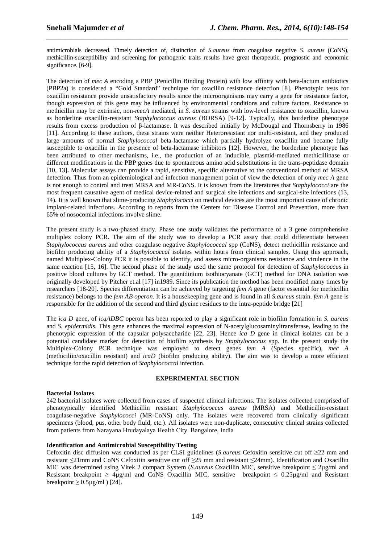antimicrobials decreased. Timely detection of, distinction of *S.aureus* from coagulase negative *S. aureus* (CoNS), methicillin-susceptibility and screening for pathogenic traits results have great therapeutic, prognostic and economic significance. [6-9].

*\_\_\_\_\_\_\_\_\_\_\_\_\_\_\_\_\_\_\_\_\_\_\_\_\_\_\_\_\_\_\_\_\_\_\_\_\_\_\_\_\_\_\_\_\_\_\_\_\_\_\_\_\_\_\_\_\_\_\_\_\_\_\_\_\_\_\_\_\_\_\_\_\_\_\_\_\_\_*

The detection of *mec A* encoding a PBP (Penicillin Binding Protein) with low affinity with beta-lactum antibiotics (PBP2a) is considered a "Gold Standard" technique for oxacillin resistance detection [8]. Phenotypic tests for oxacillin resistance provide unsatisfactory results since the microorganisms may carry a gene for resistance factor, though expression of this gene may be influenced by environmental conditions and culture factors. Resistance to methicillin may be extrinsic, non-*mecA* mediated, in *S. aureus* strains with low-level resistance to oxacillin, known as borderline oxacillin-resistant *Staphylococcus aureus* (BORSA) [9-12]. Typically, this borderline phenotype results from excess production of β-lactamase. It was described initially by McDougal and Thornsberry in 1986 [11]. According to these authors, these strains were neither Heteroresistant nor multi-resistant, and they produced large amounts of normal *Staphylococcal* beta-lactamase which partially hydrolyze oxacillin and became fully susceptible to oxacillin in the presence of beta-lactamase inhibitors [12]. However, the borderline phenotype has been attributed to other mechanisms, i.e., the production of an inducible, plasmid-mediated methicillinase or different modifications in the PBP genes due to spontaneous amino acid substitutions in the trans-peptidase domain [10, 13**].** Molecular assays can provide a rapid, sensitive, specific alternative to the conventional method of MRSA detection. Thus from an epidemiological and infection management point of view the detection of only *mec A* gene is not enough to control and treat MRSA and MR-CoNS. It is known from the literatures that *Staphylococci* are the most frequent causative agent of medical device-related and surgical site infections and surgical-site infections (13, 14). It is well known that slime-producing *Staphylococci* on medical devices are the most important cause of chronic implant-related infections. According to reports from the Centers for Disease Control and Prevention, more than 65% of nosocomial infections involve slime.

The present study is a two-phased study. Phase one study validates the performance of a 3 gene comprehensive multiplex colony PCR. The aim of the study was to develop a PCR assay that could differentiate between *Staphylococcus aureus* and other coagulase negative *Staphylococcal* spp (CoNS), detect methicillin resistance and biofilm producing ability of a *Staphylococcal* isolates within hours from clinical samples. Using this approach, named Multiplex-Colony PCR it is possible to identify, and assess micro-organisms resistance and virulence in the same reaction [15, 16]. The second phase of the study used the same protocol for detection of *Staphylococcus* in positive blood cultures by GCT method. The guanidinium isothiocyanate (GCT) method for DNA isolation was originally developed by Pitcher et.al [17] in1989. Since its publication the method has been modified many times by researchers [18-20]. Species differentiation can be achieved by targeting *fem A* gene (factor essential for methicillin resistance) belongs to the *fem AB operon.* It is a housekeeping gene and is found in all *S.aureus* strain. *fem A* gene is responsible for the addition of the second and third glycine residues to the intra-peptide bridge [21]

The *ica D* gene, of *icaADBC* operon has been reported to play a significant role in biofilm formation in *S. aureus* and *S. epidermidis.* This gene enhances the maximal expression of N-acetylglucosaminyltransferase, leading to the phenotypic expression of the capsular polysaccharide [22, 23]. Hence *ica D* gene in clinical isolates can be a potential candidate marker for detection of biofilm synthesis by *Staphylococcus* spp. In the present study the Multiplex-Colony PCR technique was employed to detect genes *fem A* (Species specific), *mec A*  (methiciliin/oxacillin resistant) and *icaD* (biofilm producing ability). The aim was to develop a more efficient technique for the rapid detection of *Staphylococcal* infection.

## **EXPERIMENTAL SECTION**

## **Bacterial Isolates**

242 bacterial isolates were collected from cases of suspected clinical infections. The isolates collected comprised of phenotypically identified Methicillin resistant *Staphylococcus aureus* (MRSA) and Methicillin-resistant coagulase-negative *Staphylococci* (MR-CoNS) only. The isolates were recovered from clinically significant specimens (blood, pus, other body fluid, etc.). All isolates were non-duplicate, consecutive clinical strains collected from patients from Narayana Hrudayalaya Health City. Bangalore, India

## **Identification and Antimicrobial Susceptibility Testing**

Cefoxitin disc diffusion was conducted as per CLSI guidelines (*S.aureus* Cefoxitin sensitive cut off ≥22 mm and resistant ≤21mm and CoNS Cefoxitin sensitive cut off ≥25 mm and resistant ≤24mm). Identification and Oxacillin MIC was determined using Vitek 2 compact System (*S.aureus* Oxacillin MIC, sensitive breakpoint ≤ 2µg/ml and Resistant breakpoint  $\geq 4\mu\text{g/ml}$  and CoNS Oxacillin MIC, sensitive breakpoint  $\leq 0.25\mu\text{g/ml}$  and Resistant breakpoint  $\geq 0.5 \mu$ g/ml) [24].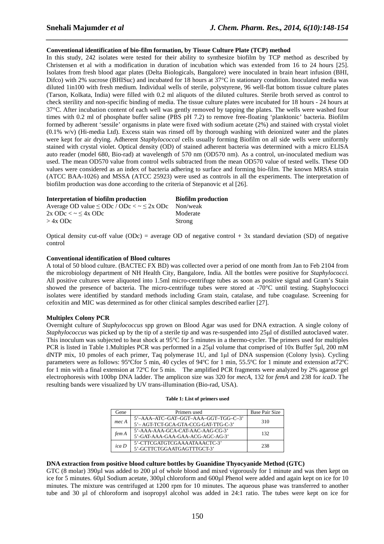### **Conventional identification of bio-film formation, by Tissue Culture Plate (TCP) method**

In this study, 242 isolates were tested for their ability to synthesize biofilm by TCP method as described by Christensen et al with a modification in duration of incubation which was extended from 16 to 24 hours [25]. Isolates from fresh blood agar plates (Delta Biologicals, Bangalore) were inoculated in brain heart infusion (BHI, Difco) with 2% sucrose (BHISuc) and incubated for 18 hours at 37°C in stationary condition. Inoculated media was diluted 1in100 with fresh medium. Individual wells of sterile, polystyrene, 96 well-flat bottom tissue culture plates (Tarson, Kolkata, India) were filled with 0.2 ml aliquots of the diluted cultures. Sterile broth served as control to check sterility and non-specific binding of media. The tissue culture plates were incubated for 18 hours - 24 hours at 37°C. After incubation content of each well was gently removed by tapping the plates. The wells were washed four times with 0.2 ml of phosphate buffer saline (PBS pH 7.2) to remove free-floating 'planktonic' bacteria. Biofilm formed by adherent 'sessile' organisms in plate were fixed with sodium acetate (2%) and stained with crystal violet (0.1% w/v) (Hi-media Ltd). Excess stain was rinsed off by thorough washing with deionized water and the plates were kept for air drying. Adherent *Staphylococcal* cells usually forming Biofilm on all side wells were uniformly stained with crystal violet. Optical density (OD) of stained adherent bacteria was determined with a micro ELISA auto reader (model 680, Bio-rad) at wavelength of 570 nm (OD570 nm). As a control, un-inoculated medium was used. The mean OD570 value from control wells subtracted from the mean OD570 value of tested wells. These OD values were considered as an index of bacteria adhering to surface and forming bio-film. The known MRSA strain (ATCC BAA-1026) and MSSA (ATCC 25923) were used as controls in all the experiments. The interpretation of biofilm production was done according to the criteria of Stepanovic et al [26].

*\_\_\_\_\_\_\_\_\_\_\_\_\_\_\_\_\_\_\_\_\_\_\_\_\_\_\_\_\_\_\_\_\_\_\_\_\_\_\_\_\_\_\_\_\_\_\_\_\_\_\_\_\_\_\_\_\_\_\_\_\_\_\_\_\_\_\_\_\_\_\_\_\_\_\_\_\_\_*

| Interpretation of biofilm production                   | <b>Biofilm production</b> |
|--------------------------------------------------------|---------------------------|
| Average OD value $\le$ ODc / ODc $\lt \sim \le 2x$ ODc | Non/weak                  |
| $2x$ ODc $\lt \sim$ $\lt 4x$ ODc                       | Moderate                  |
| $>$ 4x ODc                                             | Strong                    |

Optical density cut-off value (ODc) = average OD of negative control  $+3x$  standard deviation (SD) of negative control

#### **Conventional identification of Blood cultures**

A total of 50 blood culture. (BACTEC FX BD) was collected over a period of one month from Jan to Feb 2104 from the microbiology department of NH Health City, Bangalore, India. All the bottles were positive for *Staphylococci*. All positive cultures were aliquoted into 1.5ml micro-centrifuge tubes as soon as positive signal and Gram's Stain showed the presence of bacteria. The micro-centrifuge tubes were stored at -70°C until testing. Staphylococci isolates were identified by standard methods including Gram stain, catalase, and tube coagulase. Screening for cefoxitin and MIC was determined as for other clinical samples described earlier [27].

#### **Multiplex Colony PCR**

Overnight culture of *Staphylococcus* spp grown on Blood Agar was used for DNA extraction. A single colony of *Staphylococcus* was picked up by the tip of a sterile tip and was re-suspended into 25µl of distilled autoclaved water. This inoculum was subjected to heat shock at 95°C for 5 minutes in a thermo-cycler. The primers used for multiples PCR is listed in Table 1.Multiples PCR was performed in a 25µl volume that comprised of 10x Buffer 5µl, 200 mM dNTP mix, 10 pmoles of each primer, Taq polymerase 1U, and 1µl of DNA suspension (Colony lysis). Cycling parameters were as follows: 95ºCfor 5 min, 40 cycles of 94ºC for 1 min, 55.5ºC for 1 minute and extension at72ºC for 1 min with a final extension at 72ºC for 5 min. The amplified PCR fragments were analyzed by 2% agarose gel electrophoresis with 100bp DNA ladder. The amplicon size was 320 for *mecA*, 132 for *femA* and 238 for *icaD*. The resulting bands were visualized by UV trans-illumination (Bio-rad, USA).

| Gene  | Primers used                                                               | <b>Base Pair Size</b> |
|-------|----------------------------------------------------------------------------|-----------------------|
| mec A | 5'-AAA-ATC-GAT-GGT-AAA-GGT-TGG-C-3'<br>5'-AGT-TCT-GCA-GTA-CCG-GAT-TTG-C-3' | 310                   |
| fem A | 5'-AAA-AAA-GCA-CAT-AAC-AAG-CG-3'<br>5'-GAT-AAA-GAA-GAA-ACG-AGC-AG-3'       | 132                   |
| ica D | 5'-CTTCGATGTCGAAAATAAACTC-3'<br>5'-GCTTCTGGAATGAGTTTGCT-3'                 | 238                   |

#### **Table 1: List of primers used**

#### **DNA extraction from positive blood culture bottles by Guanidine Thyocyanide Method (GTC)**

GTC (8 molar) 390µl was added to 200 µl of whole blood and mixed vigorously for 1 minute and was then kept on ice for 5 minutes. 60µl Sodium acetate, 300µl chloroform and 600µl Phenol were added and again kept on ice for 10 minutes. The mixture was centrifuged at 1200 rpm for 10 minutes. The aqueous phase was transferred to another tube and 30 µl of chloroform and isopropyl alcohol was added in 24:1 ratio. The tubes were kept on ice for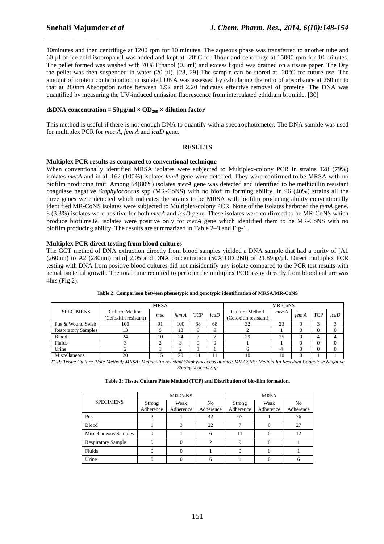10minutes and then centrifuge at 1200 rpm for 10 minutes. The aqueous phase was transferred to another tube and 60 µl of ice cold isopropanol was added and kept at -20°C for 1hour and centrifuge at 15000 rpm for 10 minutes. The pellet formed was washed with 70% Ethanol (0.5ml) and excess liquid was drained on a tissue paper. The Dry the pellet was then suspended in water (20 µl). [28, 29] The sample can be stored at -20°C for future use. The amount of protein contamination in isolated DNA was assessed by calculating the ratio of absorbance at 260nm to that at 280nm.Absorption ratios between 1.92 and 2.20 indicates effective removal of proteins. The DNA was quantified by measuring the UV-induced emission fluorescence from intercalated ethidium bromide. [30]

*\_\_\_\_\_\_\_\_\_\_\_\_\_\_\_\_\_\_\_\_\_\_\_\_\_\_\_\_\_\_\_\_\_\_\_\_\_\_\_\_\_\_\_\_\_\_\_\_\_\_\_\_\_\_\_\_\_\_\_\_\_\_\_\_\_\_\_\_\_\_\_\_\_\_\_\_\_\_*

## dsDNA concentration =  $50\mu$ g/ml ×  $OD<sub>260</sub>$  × dilution factor

This method is useful if there is not enough DNA to quantify with a spectrophotometer. The DNA sample was used for multiplex PCR for *mec A, fem A* and *icaD* gene.

## **RESULTS**

## **Multiplex PCR results as compared to conventional technique**

When conventionally identified MRSA isolates were subjected to Multiplex-colony PCR in strains 128 (79%) isolates *mecA* and in all 162 (100%) isolates *femA* gene were detected. They were confirmed to be MRSA with no biofilm producing trait. Among 64(80%) isolates *mecA* gene was detected and identified to be methicillin resistant coagulase negative *Staphylococcus* spp (MR-CoNS) with no biofilm forming ability. In 96 (40%) strains all the three genes were detected which indicates the strains to be MRSA with biofilm producing ability conventionally identified MR-CoNS isolates were subjected to Multiplex-colony PCR. None of the isolates harbored the *femA* gene. 8 (3.3%) isolates were positive for both *mecA* and *icaD* gene. These isolates were confirmed to be MR-CoNS which produce biofilms.66 isolates were positive only for *mecA* gene which identified them to be MR-CoNS with no biofilm producing ability. The results are summarized in Table 2–3 and Fig-1.

## **Multiplex PCR direct testing from blood cultures**

The GCT method of DNA extraction directly from blood samples yielded a DNA sample that had a purity of [A1 (260nm) to A2 (280nm) ratio] 2.05 and DNA concentration (50X OD 260) of 21.89ng/µl. Direct multiplex PCR testing with DNA from positive blood cultures did not misidentify any isolate compared to the PCR test results with actual bacterial growth. The total time required to perform the multiplex PCR assay directly from blood culture was 4hrs (Fig 2).

|                            | <b>MRSA</b>                                    |     |       |            | MR-CoNS |                                                |       |       |            |      |
|----------------------------|------------------------------------------------|-----|-------|------------|---------|------------------------------------------------|-------|-------|------------|------|
| <b>SPECIMENS</b>           | <b>Culture Method</b><br>(Cefoxitin resistant) | mec | fem A | <b>TCP</b> | icab    | <b>Culture Method</b><br>(Cefoxitin resistant) | mec A | fem A | <b>TCP</b> | icaD |
| Pus & Wound Swab           | 100                                            | 91  | 100   | 68         | 68      | 32                                             | 23    |       | ◠          |      |
| <b>Respiratory Samples</b> |                                                |     | 13    |            |         |                                                |       |       |            |      |
| <b>Blood</b>               | 24                                             | 10  | 24    |            |         | 29                                             | 25    |       |            |      |
| Fluids                     |                                                |     |       |            |         |                                                |       |       |            |      |
| Urine                      |                                                |     |       |            |         |                                                |       |       | 0          |      |
| Miscellaneous              | 20                                             | 15  | 20    |            |         | 10                                             | 10    |       |            |      |

**Table 2: Comparison between phenotypic and genotypic identification of MRSA/MR-CoNS** 

*TCP: Tissue Culture Plate Method; MRSA: Methicillin resistant Staphylococcus aureus; MR-CoNS: Methicillin Resistant Coagulase Negative* 

*Staphylococcus spp* 

#### **Table 3: Tissue Culture Plate Method (TCP) and Distribution of bio-film formation.**

|                           |                     | MR-CoNS           |                             | <b>MRSA</b>         |                   |                             |  |
|---------------------------|---------------------|-------------------|-----------------------------|---------------------|-------------------|-----------------------------|--|
| <b>SPECIMENS</b>          | Strong<br>Adherence | Weak<br>Adherence | N <sub>o</sub><br>Adherence | Strong<br>Adherence | Weak<br>Adherence | N <sub>o</sub><br>Adherence |  |
|                           |                     |                   |                             |                     |                   |                             |  |
| Pus                       |                     |                   | 42                          | 67                  |                   | 76                          |  |
| <b>Blood</b>              |                     |                   | 22                          |                     |                   | 27                          |  |
| Miscellaneous Samples     | $\Omega$            |                   |                             |                     |                   | 12                          |  |
| <b>Respiratory Sample</b> | $\Omega$            |                   |                             |                     |                   |                             |  |
| Fluids                    |                     |                   |                             |                     |                   |                             |  |
| Urine                     |                     |                   |                             |                     |                   |                             |  |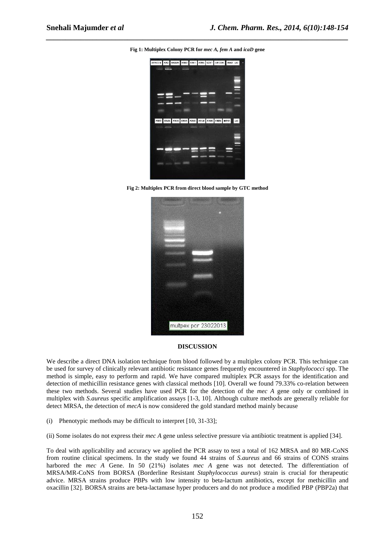

*\_\_\_\_\_\_\_\_\_\_\_\_\_\_\_\_\_\_\_\_\_\_\_\_\_\_\_\_\_\_\_\_\_\_\_\_\_\_\_\_\_\_\_\_\_\_\_\_\_\_\_\_\_\_\_\_\_\_\_\_\_\_\_\_\_\_\_\_\_\_\_\_\_\_\_\_\_\_*

**Fig 2: Multiplex PCR from direct blood sample by GTC method** 



#### **DISCUSSION**

We describe a direct DNA isolation technique from blood followed by a multiplex colony PCR. This technique can be used for survey of clinically relevant antibiotic resistance genes frequently encountered in *Staphylococci* spp. The method is simple, easy to perform and rapid. We have compared multiplex PCR assays for the identification and detection of methicillin resistance genes with classical methods [10]. Overall we found 79.33% co-relation between these two methods. Several studies have used PCR for the detection of the *mec A* gene only or combined in multiplex with *S.aureus* specific amplification assays [1-3, 10]. Although culture methods are generally reliable for detect MRSA, the detection of *mecA* is now considered the gold standard method mainly because

(i) Phenotypic methods may be difficult to interpret [10, 31-33];

(ii) Some isolates do not express their *mec A* gene unless selective pressure via antibiotic treatment is applied [34].

To deal with applicability and accuracy we applied the PCR assay to test a total of 162 MRSA and 80 MR-CoNS from routine clinical specimens. In the study we found 44 strains of *S.aureus* and 66 strains of CONS strains harbored the *mec A* Gene. In 50 (21%) isolates *mec A* gene was not detected. The differentiation of MRSA/MR-CoNS from BORSA (Borderline Resistant *Staphylococcus aureus*) strain is crucial for therapeutic advice. MRSA strains produce PBPs with low intensity to beta-lactum antibiotics, except for methicillin and oxacillin [32]. BORSA strains are beta-lactamase hyper producers and do not produce a modified PBP (PBP2a) that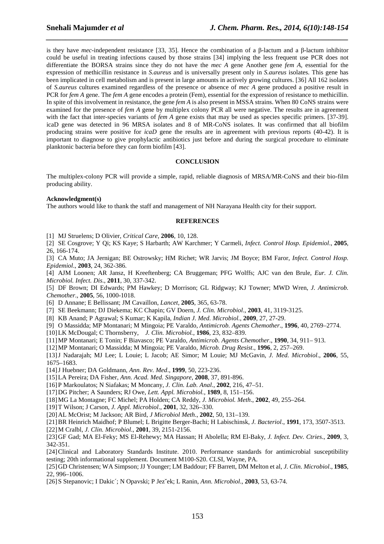is they have *mec*-independent resistance [33, 35]. Hence the combination of a β-lactum and a β-lactum inhibitor could be useful in treating infections caused by those strains [34] implying the less frequent use PCR does not differentiate the BORSA strains since they do not have the *mec A* gene Another gene *fem A*, essential for the expression of methicillin resistance in *S.aureus* and is universally present only in *S.aureus* isolates. This gene has been implicated in cell metabolism and is present in large amounts in actively growing cultures. [36] All 162 isolates of *S.aureus* cultures examined regardless of the presence or absence of *mec A* gene produced a positive result in PCR for *fem A* gene. The *fem A* gene encodes a protein (Fem), essential for the expression of resistance to methicillin. In spite of this involvement in resistance, the gene *fem A* is also present in MSSA strains. When 80 CoNS strains were examined for the presence of *fem A* gene by multiplex colony PCR all were negative. The results are in agreement with the fact that inter-species variants of *fem A* gene exists that may be used as species specific primers. [37-39]. icaD gene was detected in 96 MRSA isolates and 8 of MR-CoNS isolates. It was confirmed that all biofilm producing strains were positive for *icaD* gene the results are in agreement with previous reports (40-42). It is important to diagnose to give prophylactic antibiotics just before and during the surgical procedure to eliminate planktonic bacteria before they can form biofilm [43].

*\_\_\_\_\_\_\_\_\_\_\_\_\_\_\_\_\_\_\_\_\_\_\_\_\_\_\_\_\_\_\_\_\_\_\_\_\_\_\_\_\_\_\_\_\_\_\_\_\_\_\_\_\_\_\_\_\_\_\_\_\_\_\_\_\_\_\_\_\_\_\_\_\_\_\_\_\_\_*

#### **CONCLUSION**

The multiplex-colony PCR will provide a simple, rapid, reliable diagnosis of MRSA/MR-CoNS and their bio-film producing ability.

#### **Acknowledgment(s)**

The authors would like to thank the staff and management of NH Narayana Health city for their support.

#### **REFERENCES**

[1] MJ Struelens; D Olivier, *Critical Care,* **2006**, 10, 128.

[2] SE Cosgrove; Y Qi; KS Kaye; S Harbarth; AW Karchmer; Y Carmeli, *Infect. Control Hosp. Epidemiol*., **2005**, 26, 166-174.

[3] CA Muto; JA Jernigan; BE Ostrowsky; HM Richet; WR Jarvis; JM Boyce; BM Faror, *Infect. Control Hosp. Epidemiol*., **2003**, 24, 362-386.

[4] AJM Loonen; AR Jansz, H Kreeftenberg; CA Bruggeman; PFG Wolffs; AJC van den Brule, *Eur. J. Clin. Microbiol. Infect. Dis*., **2011**, 30, 337-342.

[5] DF Brown; DI Edwards; PM Hawkey; D Morrison; GL Ridgway; KJ Towner; MWD Wren, *J. Antimicrob. Chemother*., **2005**, 56, 1000-1018.

[6] D Annane; E Bellissant; JM Cavaillon, *Lancet*, **2005**, 365, 63-78.

- [7] SE Beekmann; DJ Diekema; KC Chapin; GV Doern, *J. Clin. Microbiol*., **2003**, 41, 3119-3125.
- [8] KB Anand; P Agrawal; S Kumar; K Kapila, *Indian J. Med. Microbiol.*, **2009**, 27, 27-29.
- [9] O Massidda; MP Montanari; M Mingoia; PE Varaldo, *Antimicrob. Agents Chemother*., **1996**, 40, 2769–2774.
- [10]LK McDougal; C Thornsberry, *J. Clin. Microbiol.*, **1986**, 23, 832–839.
- [11]MP Montanari; E Tonin; F Biavasco; PE Varaldo, *Antimicrob. Agents Chemother*., **1990**, 34, 911– 913.

[12]MP Montanari; O Massidda; M Mingoia; PE Varaldo, *Microb. Drug Resist*., **1996**, 2, 257–269.

[13]J Nadarajah; MJ Lee; L Louie; L Jacob; AE Simor; M Louie; MJ McGavin, *J. Med. Microbiol*., **2006**, 55, 1675–1683.

[14]J Huebner; DA Goldmann, *Ann. Rev. Med*., **1999**, 50, 223-236.

[15]LA Pereira; DA Fisher, *Ann. Acad. Med. Singapore*, **2008**, 37, 891-896.

[16]P Markoulatos; N Siafakas; M Moncany, *J. Clin. Lab. Anal*., **2002**, 216, 47–51.

[17]DG Pitcher; A Saunders; RJ Owe, *Lett. Appl. Microbiol.*, **1989**, 8, 151–156.

[18]MG La Montagne; FC Michel; PA Holden; CA Reddy, *J. Microbiol. Meth*., **2002**, 49, 255–264.

[19]T Wilson; J Carson, *J. Appl. Microbiol*., **2001**, 32, 326–330.

[20]AL McOrist; M Jackson; AR Bird, *J Microbiol Meth*., **2002**, 50, 131–139.

[21]BR Heinrich Maidhof; P Blumel; L Brigitte Berger-Bachi; H Labischinsk, *J. Bacteriol*., **1991**, 173, 3507-3513.

[22]M Cralbl, *J. Clin. Microbiol*., **2001**, 39, 2151-2156.

[23]GF Gad; MA El-Feky; MS El-Rehewy; MA Hassan; H Abolella; RM El-Baky, *J. Infect. Dev. Ctries*., **2009**, 3, 342-351.

[24] Clinical and Laboratory Standards Institute. 2010. Performance standards for antimicrobial susceptibility testing; 20th informational supplement. Document M100-S20. CLSI, Wayne, PA.

[25]GD Christensen; WA Simpson; JJ Younger; LM Baddour; FF Barrett, DM Melton et al, *J. Clin. Microbiol*., **1985**, 22, 996–1006.

[26]S Stepanovic; I Dakic´; N Opavski; P Jezˇek; L Ranin, *Ann. Microbiol*., **2003**, 53, 63-74.